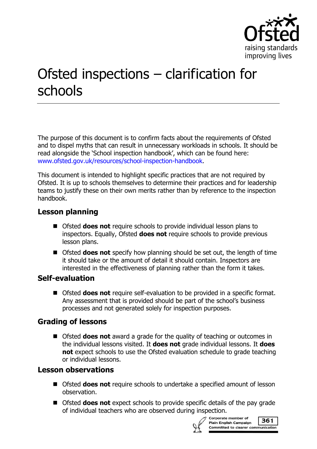

# Ofsted inspections – clarification for schools

The purpose of this document is to confirm facts about the requirements of Ofsted and to dispel myths that can result in unnecessary workloads in schools. It should be read alongside the 'School inspection handbook', which can be found here: [www.ofsted.gov.uk/resources/school-inspection-handbook.](https://www.gov.uk/government/publications/school-inspection-handbook)

This document is intended to highlight specific practices that are not required by Ofsted. It is up to schools themselves to determine their practices and for leadership teams to justify these on their own merits rather than by reference to the inspection handbook.

## **Lesson planning**

- Ofsted **does not** require schools to provide individual lesson plans to inspectors. Equally, Ofsted **does not** require schools to provide previous lesson plans.
- Ofsted **does not** specify how planning should be set out, the length of time it should take or the amount of detail it should contain. Inspectors are interested in the effectiveness of planning rather than the form it takes.

#### **Self-evaluation**

 Ofsted **does not** require self-evaluation to be provided in a specific format. Any assessment that is provided should be part of the school's business processes and not generated solely for inspection purposes.

## **Grading of lessons**

■ Ofsted **does not** award a grade for the quality of teaching or outcomes in the individual lessons visited. It **does not** grade individual lessons. It **does not** expect schools to use the Ofsted evaluation schedule to grade teaching or individual lessons.

#### **Lesson observations**

- Ofsted **does not** require schools to undertake a specified amount of lesson observation.
- Ofsted **does not** expect schools to provide specific details of the pay grade of individual teachers who are observed during inspection.



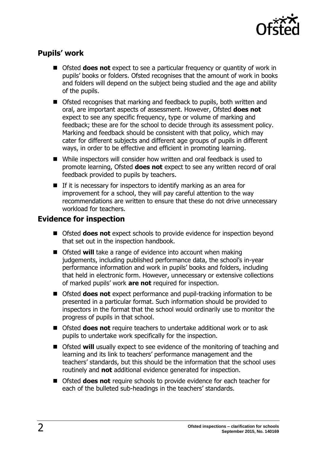

## **Pupils' work**

- Ofsted **does not** expect to see a particular frequency or quantity of work in pupils' books or folders. Ofsted recognises that the amount of work in books and folders will depend on the subject being studied and the age and ability of the pupils.
- Ofsted recognises that marking and feedback to pupils, both written and oral, are important aspects of assessment. However, Ofsted **does not** expect to see any specific frequency, type or volume of marking and feedback; these are for the school to decide through its assessment policy. Marking and feedback should be consistent with that policy, which may cater for different subjects and different age groups of pupils in different ways, in order to be effective and efficient in promoting learning.
- While inspectors will consider how written and oral feedback is used to promote learning, Ofsted **does not** expect to see any written record of oral feedback provided to pupils by teachers.
- $\blacksquare$  If it is necessary for inspectors to identify marking as an area for improvement for a school, they will pay careful attention to the way recommendations are written to ensure that these do not drive unnecessary workload for teachers.

## **Evidence for inspection**

- Ofsted **does not** expect schools to provide evidence for inspection beyond that set out in the inspection handbook.
- Ofsted **will** take a range of evidence into account when making judgements, including published performance data, the school's in-year performance information and work in pupils' books and folders, including that held in electronic form. However, unnecessary or extensive collections of marked pupils' work **are not** required for inspection.
- Ofsted **does not** expect performance and pupil-tracking information to be presented in a particular format. Such information should be provided to inspectors in the format that the school would ordinarily use to monitor the progress of pupils in that school.
- Ofsted **does not** require teachers to undertake additional work or to ask pupils to undertake work specifically for the inspection.
- Ofsted **will** usually expect to see evidence of the monitoring of teaching and learning and its link to teachers' performance management and the teachers' standards, but this should be the information that the school uses routinely and **not** additional evidence generated for inspection.
- Ofsted **does not** require schools to provide evidence for each teacher for each of the bulleted sub-headings in the teachers' standards.